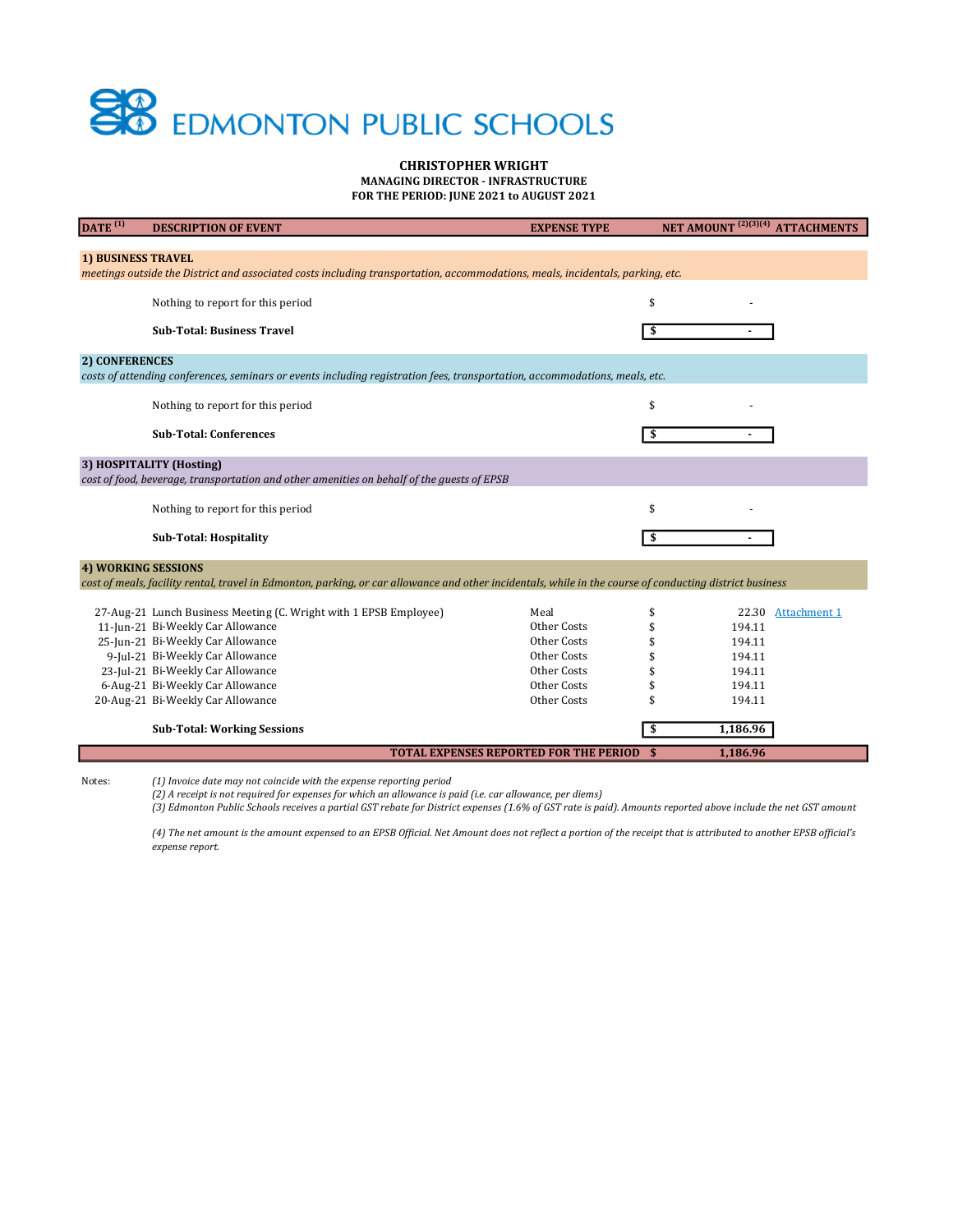## **SB** EDMONTON PUBLIC SCHOOLS

## CHRISTOPHER WRIGHT

MANAGING DIRECTOR - INFRASTRUCTURE FOR THE PERIOD: JUNE 2021 to AUGUST 2021

| DATE <sup>(1)</sup>                                                                                                            | <b>DESCRIPTION OF EVENT</b>                                                                                                                              | <b>EXPENSE TYPE</b>                              | NET AMOUNT <sup>(2)(3)(4)</sup> ATTACHMENTS |  |
|--------------------------------------------------------------------------------------------------------------------------------|----------------------------------------------------------------------------------------------------------------------------------------------------------|--------------------------------------------------|---------------------------------------------|--|
|                                                                                                                                |                                                                                                                                                          |                                                  |                                             |  |
| 1) BUSINESS TRAVEL                                                                                                             |                                                                                                                                                          |                                                  |                                             |  |
| meetings outside the District and associated costs including transportation, accommodations, meals, incidentals, parking, etc. |                                                                                                                                                          |                                                  |                                             |  |
|                                                                                                                                | Nothing to report for this period                                                                                                                        |                                                  | \$                                          |  |
|                                                                                                                                |                                                                                                                                                          |                                                  |                                             |  |
|                                                                                                                                | <b>Sub-Total: Business Travel</b>                                                                                                                        |                                                  | \$                                          |  |
| 2) CONFERENCES                                                                                                                 |                                                                                                                                                          |                                                  |                                             |  |
| costs of attending conferences, seminars or events including registration fees, transportation, accommodations, meals, etc.    |                                                                                                                                                          |                                                  |                                             |  |
|                                                                                                                                | Nothing to report for this period                                                                                                                        |                                                  | \$                                          |  |
|                                                                                                                                |                                                                                                                                                          |                                                  |                                             |  |
|                                                                                                                                | <b>Sub-Total: Conferences</b>                                                                                                                            |                                                  | \$                                          |  |
|                                                                                                                                |                                                                                                                                                          |                                                  |                                             |  |
| 3) HOSPITALITY (Hosting)<br>cost of food, beverage, transportation and other amenities on behalf of the guests of EPSB         |                                                                                                                                                          |                                                  |                                             |  |
|                                                                                                                                |                                                                                                                                                          |                                                  |                                             |  |
|                                                                                                                                | Nothing to report for this period                                                                                                                        |                                                  | \$                                          |  |
|                                                                                                                                | <b>Sub-Total: Hospitality</b>                                                                                                                            |                                                  | \$                                          |  |
| <b>4) WORKING SESSIONS</b>                                                                                                     |                                                                                                                                                          |                                                  |                                             |  |
|                                                                                                                                | cost of meals, facility rental, travel in Edmonton, parking, or car allowance and other incidentals, while in the course of conducting district business |                                                  |                                             |  |
|                                                                                                                                | 27-Aug-21 Lunch Business Meeting (C. Wright with 1 EPSB Employee)                                                                                        | Meal                                             | \$<br>22.30<br><b>Attachment 1</b>          |  |
|                                                                                                                                | 11-Jun-21 Bi-Weekly Car Allowance                                                                                                                        | Other Costs                                      | 194.11                                      |  |
|                                                                                                                                | 25-Jun-21 Bi-Weekly Car Allowance                                                                                                                        | Other Costs                                      | 194.11                                      |  |
|                                                                                                                                | 9-Jul-21 Bi-Weekly Car Allowance                                                                                                                         | Other Costs                                      | 194.11                                      |  |
|                                                                                                                                | 23-Jul-21 Bi-Weekly Car Allowance                                                                                                                        | Other Costs                                      | 194.11                                      |  |
|                                                                                                                                | 6-Aug-21 Bi-Weekly Car Allowance                                                                                                                         | Other Costs                                      | 194.11                                      |  |
|                                                                                                                                | 20-Aug-21 Bi-Weekly Car Allowance                                                                                                                        | Other Costs                                      | 194.11                                      |  |
|                                                                                                                                | <b>Sub-Total: Working Sessions</b>                                                                                                                       |                                                  | \$<br>1,186.96                              |  |
|                                                                                                                                |                                                                                                                                                          | <b>TOTAL EXPENSES REPORTED FOR THE PERIOD \$</b> | 1,186.96                                    |  |
|                                                                                                                                |                                                                                                                                                          |                                                  |                                             |  |

Notes: (1) Invoice date may not coincide with the expense reporting period

(2) A receipt is not required for expenses for which an allowance is paid (i.e. car allowance, per diems)

(3) Edmonton Public Schools receives a partial GST rebate for District expenses (1.6% of GST rate is paid). Amounts reported above include the net GST amount

(4) The net amount is the amount expensed to an EPSB Official. Net Amount does not reflect a portion of the receipt that is attributed to another EPSB official's expense report.